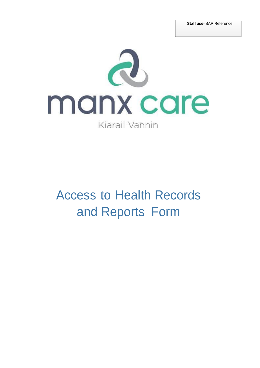

# Access to Health Records and Reports Form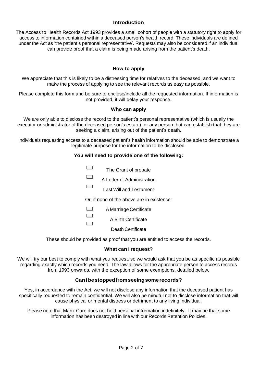### **Introduction**

The Access to Health Records Act 1993 provides a small cohort of people with a statutory right to apply for access to information contained within a deceased person's health record. These individuals are defined under the Act as 'the patient's personal representative'. Requests may also be considered if an individual can provide proof that a claim is being made arising from the patient's death.

# **How to apply**

We appreciate that this is likely to be a distressing time for relatives to the deceased, and we want to make the process of applying to see the relevant records as easy as possible.

Please complete this form and be sure to enclose/include all the requested information. If information is not provided, it will delay your response.

#### **Who can apply**

We are only able to disclose the record to the patient's personal representative (which is usually the executor or administrator of the deceased person's estate), or any person that can establish that they are seeking a claim, arising out of the patient's death.

Individuals requesting access to a deceased patient's health information should be able to demonstrate a legitimate purpose for the information to be disclosed.

#### **You will need to provide one of the following:**

| The Grant of probate           |
|--------------------------------|
| A Letter of Administration     |
| <b>Last Will and Testament</b> |

Or, if none of the above are in existence:

**The Contract of the Contract of the Contract of the Contract of the Contract of the Contract of the Contract o** A Marriage Certificate

 $\overline{\phantom{0}}$ A Birth Certificate  $\qquad \qquad$ 

Death Certificate

These should be provided as proof that you are entitled to access the records.

#### **What can Irequest?**

We will try our best to comply with what you request, so we would ask that you be as specific as possible regarding exactly which records you need. The law allows for the appropriate person to access records from 1993 onwards, with the exception of some exemptions, detailed below.

# **CanIbestoppedfromseeingsomerecords?**

Yes, in accordance with the Act, we will not disclose any information that the deceased patient has specifically requested to remain confidential. We will also be mindful not to disclose information that will cause physical or mental distress or detriment to any living individual.

Please note that Manx Care does not hold personal information indefinitely. It may be that some information has been destroyed in line with our Records Retention Policies.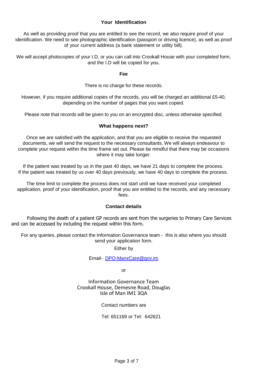# **Your Identification**

As well as providing proof that you are entitled to see the record, we also require proof of your identification. We need to see photographic identification (passport or driving licence), as well as proof of your current address (a bank statement or utility bill).

We will accept photocopies of your I.D, or you can call into Crookall House with your completed form, and the I.D will be copied for you.

**Fee**

There is no charge for these records.

However, if you require additional copies of the records, you will be charged an additional £5-40, depending on the number of pages that you want copied.

Please note that records will be given to you on an encrypted disc, unless otherwise specified.

#### **What happens next?**

Once we are satisfied with the application, and that you are eligible to receive the requested documents, we will send the request to the necessary consultants. We will always endeavour to complete your request within the time frame set out. Please be mindful that there may be occasions where it may take longer.

If the patient was treated by us in the past 40 days, we have 21 days to complete the process. If the patient was treated by us over 40 days previously, we have 40 days to complete the process.

The time limit to complete the process does not start until we have received your completed application, proof of your identification, proof that you are entitled to the records, and any necessary fees.

# **Contact details**

Following the death of a patient GP records are sent from the surgeries to Primary Care Services and can be accessed by including the request within this form.

For any queries, please contact the Information Governance team - this is also where you should send your application form.

#### Either by

Email- [DPO-ManxCare@gov.im](mailto:DPO-ManxCare@gov.im)

or

Information Governance Team Crookall House, Demesne Road, Douglas Isle of Man IM1 3QA

Contact numbers are

Tel: 651169 or Tel: 642621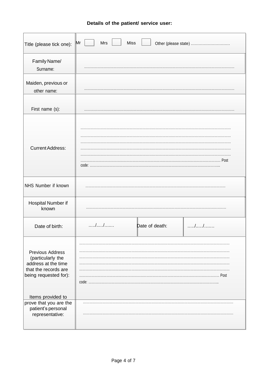|  |  |  |  | Details of the patient/ service user: |  |
|--|--|--|--|---------------------------------------|--|
|--|--|--|--|---------------------------------------|--|

| Title (please tick one):                                                                                             | Mrs<br>Miss<br>$\mathsf{M}\mathsf{r}$<br>Other (please state) |
|----------------------------------------------------------------------------------------------------------------------|---------------------------------------------------------------|
| Family Name/<br>Surname:                                                                                             |                                                               |
| Maiden, previous or<br>other name:                                                                                   |                                                               |
| First name (s):                                                                                                      |                                                               |
| <b>Current Address:</b>                                                                                              | Post<br>$code: \ldots$                                        |
| NHS Number if known                                                                                                  |                                                               |
| Hospital Number if<br>known                                                                                          |                                                               |
| Date of birth:                                                                                                       | //<br>Date of death:<br>//                                    |
| <b>Previous Address</b><br>(particularly the<br>address at the time<br>that the records are<br>being requested for): | Post<br>code:                                                 |
| Items provided to<br>prove that you are the<br>patient's personal<br>representative:                                 |                                                               |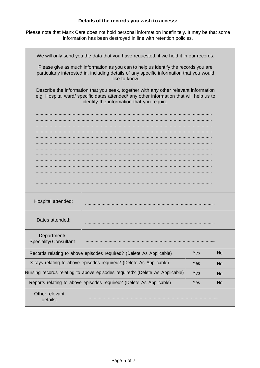# **Details of the records you wish to access:**

Please note that Manx Care does not hold personal information indefinitely. It may be that some information has been destroyed in line with retention policies.

| We will only send you the data that you have requested, if we hold it in our records.                                                                                                                                         |     |           |
|-------------------------------------------------------------------------------------------------------------------------------------------------------------------------------------------------------------------------------|-----|-----------|
| Please give as much information as you can to help us identify the records you are<br>particularly interested in, including details of any specific information that you would<br>like to know.                               |     |           |
| Describe the information that you seek, together with any other relevant information<br>e.g. Hospital ward/ specific dates attended/ any other information that will help us to<br>identify the information that you require. |     |           |
|                                                                                                                                                                                                                               |     |           |
|                                                                                                                                                                                                                               |     |           |
|                                                                                                                                                                                                                               |     |           |
|                                                                                                                                                                                                                               |     |           |
|                                                                                                                                                                                                                               |     |           |
|                                                                                                                                                                                                                               |     |           |
|                                                                                                                                                                                                                               |     |           |
|                                                                                                                                                                                                                               |     |           |
| Hospital attended:                                                                                                                                                                                                            |     |           |
| Dates attended:                                                                                                                                                                                                               |     |           |
| Department/<br><b>Speciality/Consultant</b>                                                                                                                                                                                   |     |           |
| Records relating to above episodes required? (Delete As Applicable)                                                                                                                                                           | Yes | <b>No</b> |
| X-rays relating to above episodes required? (Delete As Applicable)                                                                                                                                                            | Yes | <b>No</b> |
| Nursing records relating to above episodes required? (Delete As Applicable)<br>Yes<br><b>No</b>                                                                                                                               |     |           |
| Reports relating to above episodes required? (Delete As Applicable)                                                                                                                                                           | Yes | <b>No</b> |
| Other relevant<br>details:                                                                                                                                                                                                    |     |           |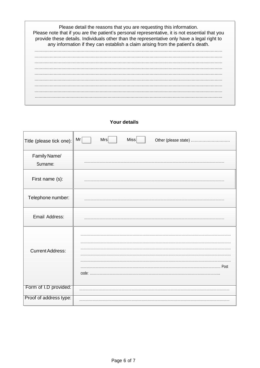

# **Your details**

| Title (please tick one): | Mr<br>Miss<br>Mrs<br>Other (please state) |
|--------------------------|-------------------------------------------|
| Family Name/             |                                           |
| Surname:                 |                                           |
| First name (s):          |                                           |
| Telephone number:        |                                           |
| Email Address:           |                                           |
|                          |                                           |
| <b>Current Address:</b>  |                                           |
|                          | ……………… Post                               |
| Form of I.D provided:    |                                           |
| Proof of address type:   |                                           |